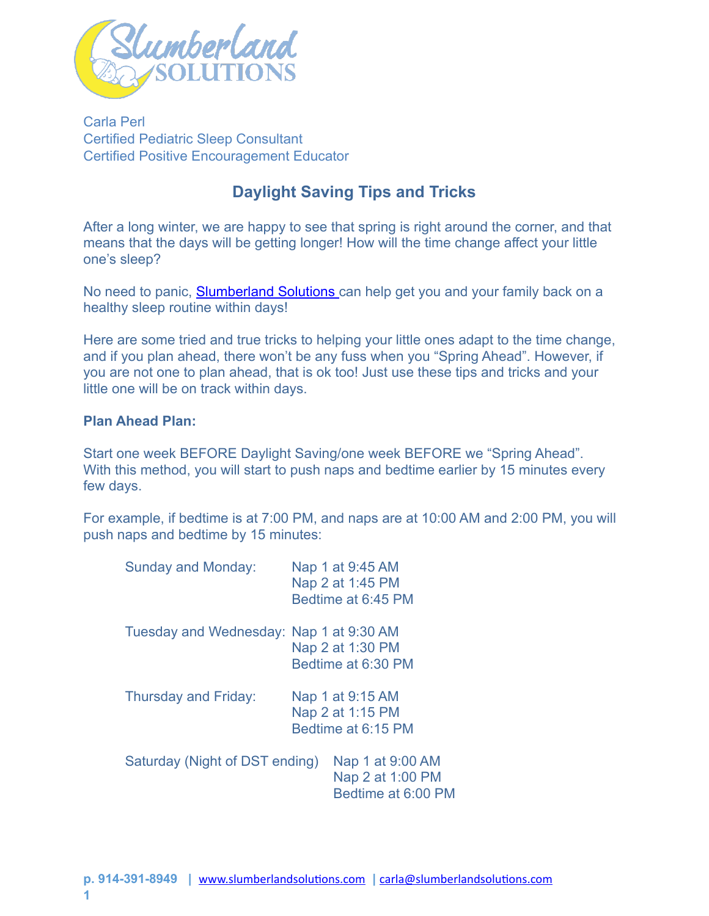

Carla Perl Certified Pediatric Sleep Consultant Certified Positive Encouragement Educator

# **Daylight Saving Tips and Tricks**

After a long winter, we are happy to see that spring is right around the corner, and that means that the days will be getting longer! How will the time change affect your little one's sleep?

No need to panic, **Slumberland Solutions** can help get you and your family back on a healthy sleep routine within days!

Here are some tried and true tricks to helping your little ones adapt to the time change, and if you plan ahead, there won't be any fuss when you "Spring Ahead". However, if you are not one to plan ahead, that is ok too! Just use these tips and tricks and your little one will be on track within days.

## **Plan Ahead Plan:**

Start one week BEFORE Daylight Saving/one week BEFORE we "Spring Ahead". With this method, you will start to push naps and bedtime earlier by 15 minutes every few days.

For example, if bedtime is at 7:00 PM, and naps are at 10:00 AM and 2:00 PM, you will push naps and bedtime by 15 minutes:

| <b>Sunday and Monday:</b>               | Nap 1 at 9:45 AM<br>Nap 2 at 1:45 PM<br>Bedtime at 6:45 PM |
|-----------------------------------------|------------------------------------------------------------|
| Tuesday and Wednesday: Nap 1 at 9:30 AM | Nap 2 at 1:30 PM<br>Bedtime at 6:30 PM                     |
| <b>Thursday and Friday:</b>             | Nap 1 at 9:15 AM<br>Nap 2 at 1:15 PM<br>Bedtime at 6:15 PM |
| Saturday (Night of DST ending)          | Nap 1 at 9:00 AM<br>Nap 2 at 1:00 PM<br>Bedtime at 6:00 PM |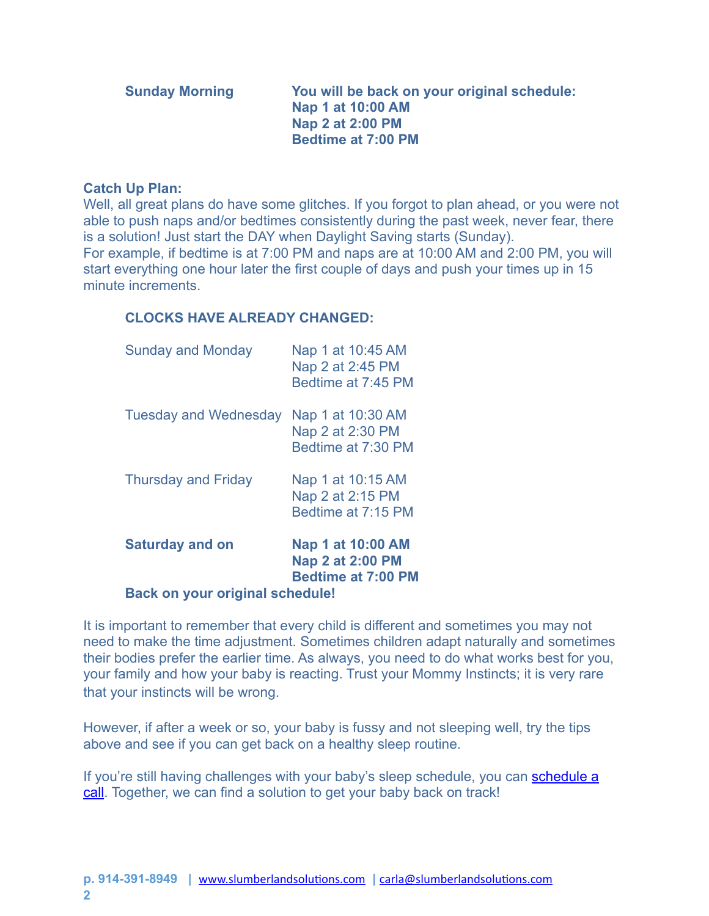| <b>Sunday Morning</b> | You will be back on your original schedule:<br>Nap 1 at 10:00 AM |
|-----------------------|------------------------------------------------------------------|
|                       | Nap 2 at 2:00 PM                                                 |
|                       | <b>Bedtime at 7:00 PM</b>                                        |

#### **Catch Up Plan:**

Well, all great plans do have some glitches. If you forgot to plan ahead, or you were not able to push naps and/or bedtimes consistently during the past week, never fear, there is a solution! Just start the DAY when Daylight Saving starts (Sunday). For example, if bedtime is at 7:00 PM and naps are at 10:00 AM and 2:00 PM, you will start everything one hour later the first couple of days and push your times up in 15 minute increments.

### **CLOCKS HAVE ALREADY CHANGED:**

| <b>Sunday and Monday</b>               | Nap 1 at 10:45 AM<br>Nap 2 at 2:45 PM<br>Bedtime at 7:45 PM               |  |
|----------------------------------------|---------------------------------------------------------------------------|--|
| <b>Tuesday and Wednesday</b>           | Nap 1 at 10:30 AM<br>Nap 2 at 2:30 PM<br>Bedtime at 7:30 PM               |  |
| <b>Thursday and Friday</b>             | Nap 1 at 10:15 AM<br>Nap 2 at 2:15 PM<br>Bedtime at 7:15 PM               |  |
| <b>Saturday and on</b>                 | Nap 1 at 10:00 AM<br><b>Nap 2 at 2:00 PM</b><br><b>Bedtime at 7:00 PM</b> |  |
| <b>Back on your original schedule!</b> |                                                                           |  |

It is important to remember that every child is different and sometimes you may not need to make the time adjustment. Sometimes children adapt naturally and sometimes their bodies prefer the earlier time. As always, you need to do what works best for you, your family and how your baby is reacting. Trust your Mommy Instincts; it is very rare that your instincts will be wrong.

However, if after a week or so, your baby is fussy and not sleeping well, try the tips above and see if you can get back on a healthy sleep routine.

If you're still having challenges with your baby's sleep schedule, you can schedule a [call](http://www.slumberlandsolutions.com/contact). Together, we can find a solution to get your baby back on track!